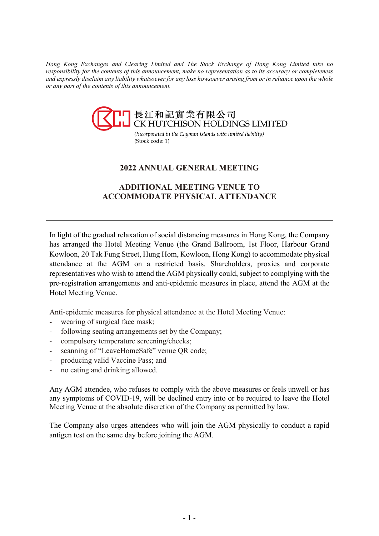*Hong Kong Exchanges and Clearing Limited and The Stock Exchange of Hong Kong Limited take no responsibility for the contents of this announcement, make no representation as to its accuracy or completeness and expressly disclaim any liability whatsoever for any loss howsoever arising from or in reliance upon the whole or any part of the contents of this announcement.*



(Incorporated in the Cayman Islands with limited liability) (Stock code: 1)

# **2022 ANNUAL GENERAL MEETING**

## **ADDITIONAL MEETING VENUE TO ACCOMMODATE PHYSICAL ATTENDANCE**

In light of the gradual relaxation of social distancing measures in Hong Kong, the Company has arranged the Hotel Meeting Venue (the Grand Ballroom, 1st Floor, Harbour Grand Kowloon, 20 Tak Fung Street, Hung Hom, Kowloon, Hong Kong) to accommodate physical attendance at the AGM on a restricted basis. Shareholders, proxies and corporate representatives who wish to attend the AGM physically could, subject to complying with the pre-registration arrangements and anti-epidemic measures in place, attend the AGM at the Hotel Meeting Venue.

Anti-epidemic measures for physical attendance at the Hotel Meeting Venue:

- wearing of surgical face mask;
- following seating arrangements set by the Company;
- compulsory temperature screening/checks;
- scanning of "LeaveHomeSafe" venue QR code;
- producing valid Vaccine Pass; and
- no eating and drinking allowed.

Any AGM attendee, who refuses to comply with the above measures or feels unwell or has any symptoms of COVID-19, will be declined entry into or be required to leave the Hotel Meeting Venue at the absolute discretion of the Company as permitted by law.

The Company also urges attendees who will join the AGM physically to conduct a rapid antigen test on the same day before joining the AGM.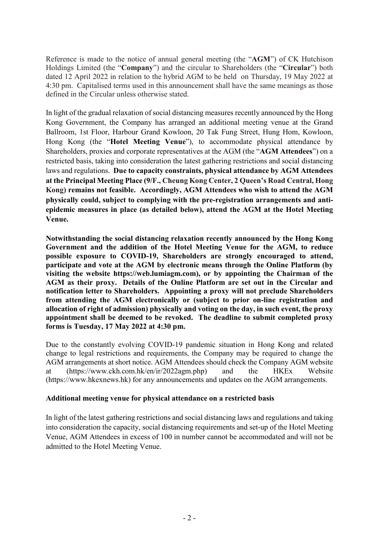Reference is made to the notice of annual general meeting (the "**AGM**") of CK Hutchison Holdings Limited (the "**Company**") and the circular to Shareholders (the "**Circular**") both dated 12 April 2022 in relation to the hybrid AGM to be held on Thursday, 19 May 2022 at 4:30 pm. Capitalised terms used in this announcement shall have the same meanings as those defined in the Circular unless otherwise stated.

In light of the gradual relaxation of social distancing measures recently announced by the Hong Kong Government, the Company has arranged an additional meeting venue at the Grand Ballroom, 1st Floor, Harbour Grand Kowloon, 20 Tak Fung Street, Hung Hom, Kowloon, Hong Kong (the "**Hotel Meeting Venue**"), to accommodate physical attendance by Shareholders, proxies and corporate representatives at the AGM (the "**AGM Attendees**") on a restricted basis, taking into consideration the latest gathering restrictions and social distancing laws and regulations. **Due to capacity constraints, physical attendance by AGM Attendees at the Principal Meeting Place (9/F., Cheung Kong Center, 2 Queen's Road Central, Hong Kong) remains not feasible. Accordingly, AGM Attendees who wish to attend the AGM physically could, subject to complying with the pre-registration arrangements and antiepidemic measures in place (as detailed below), attend the AGM at the Hotel Meeting Venue.**

**Notwithstanding the social distancing relaxation recently announced by the Hong Kong Government and the addition of the Hotel Meeting Venue for the AGM, to reduce possible exposure to COVID-19, Shareholders are strongly encouraged to attend, participate and vote at the AGM by electronic means through the Online Platform (by visiting the website https://web.lumiagm.com), or by appointing the Chairman of the AGM as their proxy. Details of the Online Platform are set out in the Circular and notification letter to Shareholders. Appointing a proxy will not preclude Shareholders from attending the AGM electronically or (subject to prior on-line registration and allocation of right of admission) physically and voting on the day, in such event, the proxy appointment shall be deemed to be revoked. The deadline to submit completed proxy forms is Tuesday, 17 May 2022 at 4:30 pm.** 

Due to the constantly evolving COVID-19 pandemic situation in Hong Kong and related change to legal restrictions and requirements, the Company may be required to change the AGM arrangements at short notice. AGM Attendees should check the Company AGM website at (https://www.ckh.com.hk/en/ir/2022agm.php) and the HKEx Website (https://www.hkexnews.hk) for any announcements and updates on the AGM arrangements.

### **Additional meeting venue for physical attendance on a restricted basis**

In light of the latest gathering restrictions and social distancing laws and regulations and taking into consideration the capacity, social distancing requirements and set-up of the Hotel Meeting Venue, AGM Attendees in excess of 100 in number cannot be accommodated and will not be admitted to the Hotel Meeting Venue.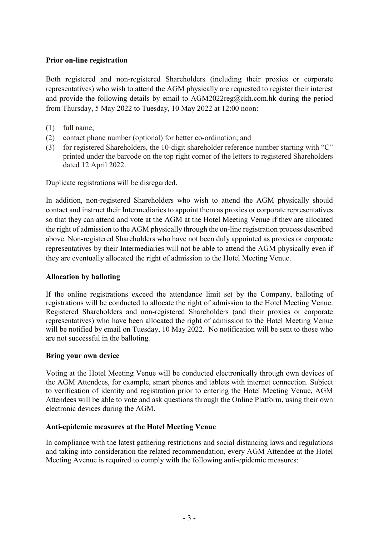## **Prior on-line registration**

Both registered and non-registered Shareholders (including their proxies or corporate representatives) who wish to attend the AGM physically are requested to register their interest and provide the following details by email to AGM2022reg@ckh.com.hk during the period from Thursday, 5 May 2022 to Tuesday, 10 May 2022 at 12:00 noon:

- (1) full name;
- (2) contact phone number (optional) for better co-ordination; and
- (3) for registered Shareholders, the 10-digit shareholder reference number starting with "C" printed under the barcode on the top right corner of the letters to registered Shareholders dated 12 April 2022.

Duplicate registrations will be disregarded.

In addition, non-registered Shareholders who wish to attend the AGM physically should contact and instruct their Intermediaries to appoint them as proxies or corporate representatives so that they can attend and vote at the AGM at the Hotel Meeting Venue if they are allocated the right of admission to the AGM physically through the on-line registration process described above. Non-registered Shareholders who have not been duly appointed as proxies or corporate representatives by their Intermediaries will not be able to attend the AGM physically even if they are eventually allocated the right of admission to the Hotel Meeting Venue.

### **Allocation by balloting**

If the online registrations exceed the attendance limit set by the Company, balloting of registrations will be conducted to allocate the right of admission to the Hotel Meeting Venue. Registered Shareholders and non-registered Shareholders (and their proxies or corporate representatives) who have been allocated the right of admission to the Hotel Meeting Venue will be notified by email on Tuesday, 10 May 2022. No notification will be sent to those who are not successful in the balloting.

### **Bring your own device**

Voting at the Hotel Meeting Venue will be conducted electronically through own devices of the AGM Attendees, for example, smart phones and tablets with internet connection. Subject to verification of identity and registration prior to entering the Hotel Meeting Venue, AGM Attendees will be able to vote and ask questions through the Online Platform, using their own electronic devices during the AGM.

### **Anti-epidemic measures at the Hotel Meeting Venue**

In compliance with the latest gathering restrictions and social distancing laws and regulations and taking into consideration the related recommendation, every AGM Attendee at the Hotel Meeting Avenue is required to comply with the following anti-epidemic measures: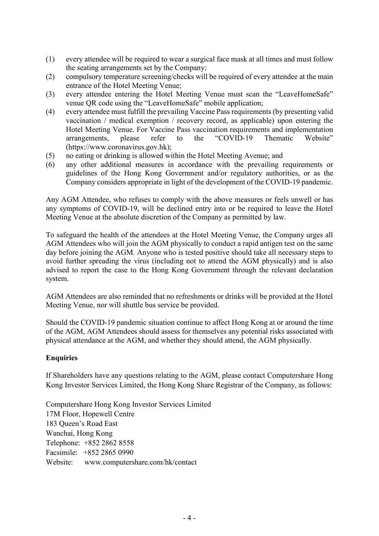- (1) every attendee will be required to wear a surgical face mask at all times and must follow the seating arrangements set by the Company;
- (2) compulsory temperature screening/checks will be required of every attendee at the main entrance of the Hotel Meeting Venue;
- (3) every attendee entering the Hotel Meeting Venue must scan the "LeaveHomeSafe" venue QR code using the "LeaveHomeSafe" mobile application;
- (4) every attendee must fulfill the prevailing Vaccine Pass requirements (by presenting valid vaccination / medical exemption / recovery record, as applicable) upon entering the Hotel Meeting Venue. For Vaccine Pass vaccination requirements and implementation arrangements, please refer to the "COVID-19 Thematic Website" (https://www.coronavirus.gov.hk);
- (5) no eating or drinking is allowed within the Hotel Meeting Avenue; and
- (6) any other additional measures in accordance with the prevailing requirements or guidelines of the Hong Kong Government and/or regulatory authorities, or as the Company considers appropriate in light of the development of the COVID-19 pandemic.

Any AGM Attendee, who refuses to comply with the above measures or feels unwell or has any symptoms of COVID-19, will be declined entry into or be required to leave the Hotel Meeting Venue at the absolute discretion of the Company as permitted by law.

To safeguard the health of the attendees at the Hotel Meeting Venue, the Company urges all AGM Attendees who will join the AGM physically to conduct a rapid antigen test on the same day before joining the AGM. Anyone who is tested positive should take all necessary steps to avoid further spreading the virus (including not to attend the AGM physically) and is also advised to report the case to the Hong Kong Government through the relevant declaration system.

AGM Attendees are also reminded that no refreshments or drinks will be provided at the Hotel Meeting Venue, nor will shuttle bus service be provided.

Should the COVID-19 pandemic situation continue to affect Hong Kong at or around the time of the AGM, AGM Attendees should assess for themselves any potential risks associated with physical attendance at the AGM, and whether they should attend, the AGM physically.

### **Enquiries**

If Shareholders have any questions relating to the AGM, please contact Computershare Hong Kong Investor Services Limited, the Hong Kong Share Registrar of the Company, as follows:

Computershare Hong Kong Investor Services Limited 17M Floor, Hopewell Centre 183 Queen's Road East Wanchai, Hong Kong Telephone: +852 2862 8558 Facsimile: +852 2865 0990 Website: www.computershare.com/hk/contact